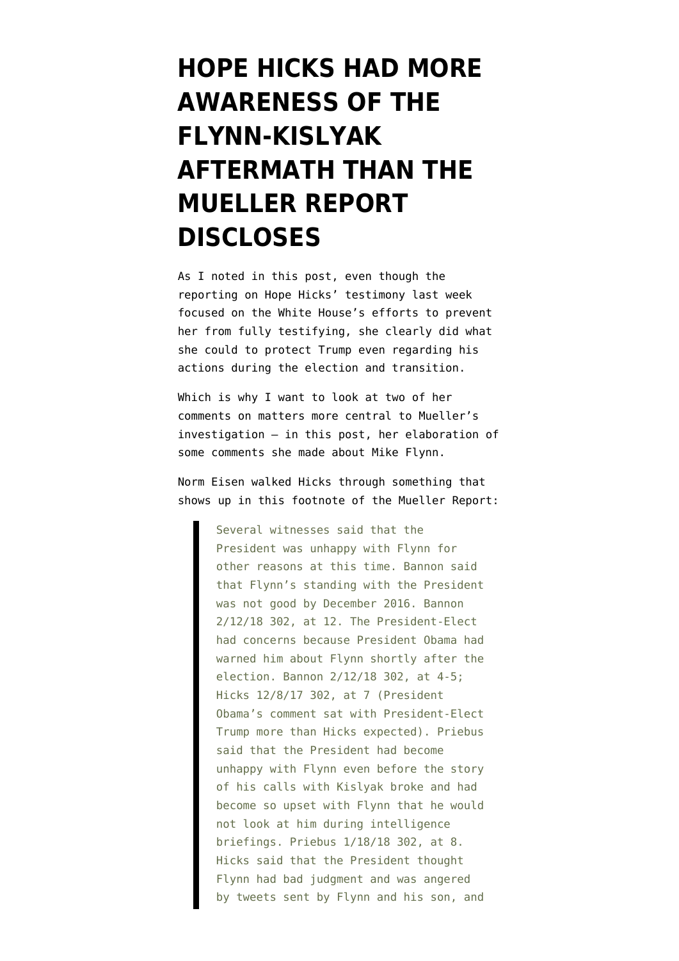## **[HOPE HICKS HAD MORE](https://www.emptywheel.net/2019/06/24/hope-hicks-had-more-awareness-of-the-flynn-kislyak-aftermath-than-the-mueller-report-discloses/) [AWARENESS OF THE](https://www.emptywheel.net/2019/06/24/hope-hicks-had-more-awareness-of-the-flynn-kislyak-aftermath-than-the-mueller-report-discloses/) [FLYNN-KISLYAK](https://www.emptywheel.net/2019/06/24/hope-hicks-had-more-awareness-of-the-flynn-kislyak-aftermath-than-the-mueller-report-discloses/) [AFTERMATH THAN THE](https://www.emptywheel.net/2019/06/24/hope-hicks-had-more-awareness-of-the-flynn-kislyak-aftermath-than-the-mueller-report-discloses/) [MUELLER REPORT](https://www.emptywheel.net/2019/06/24/hope-hicks-had-more-awareness-of-the-flynn-kislyak-aftermath-than-the-mueller-report-discloses/) [DISCLOSES](https://www.emptywheel.net/2019/06/24/hope-hicks-had-more-awareness-of-the-flynn-kislyak-aftermath-than-the-mueller-report-discloses/)**

As I noted in [this post,](https://www.emptywheel.net/2019/06/24/hope-hicks-very-well-lawyered-efforts-to-protect-trump/) even though the reporting on [Hope Hicks' testimony](https://judiciary.house.gov/sites/democrats.judiciary.house.gov/files/documents/HJU170550%20Hicks%20interview.pdf) last week focused on the White House's efforts to prevent her from fully testifying, she clearly did what she could to protect Trump even regarding his actions during the election and transition.

Which is why I want to look at two of her comments on matters more central to Mueller's investigation — in this post, her elaboration of some comments she made about Mike Flynn.

Norm Eisen walked Hicks through something that shows up in this footnote of [the Mueller Report:](https://assets.documentcloud.org/documents/6002293/190322-Redacted-Mueller-Report.pdf)

> Several witnesses said that the President was unhappy with Flynn for other reasons at this time. Bannon said that Flynn's standing with the President was not good by December 2016. Bannon 2/12/18 302, at 12. The President-Elect had concerns because President Obama had warned him about Flynn shortly after the election. Bannon 2/12/18 302, at 4-5; Hicks 12/8/17 302, at 7 (President Obama's comment sat with President-Elect Trump more than Hicks expected). Priebus said that the President had become unhappy with Flynn even before the story of his calls with Kislyak broke and had become so upset with Flynn that he would not look at him during intelligence briefings. Priebus 1/18/18 302, at 8. Hicks said that the President thought Flynn had bad judgment and was angered by tweets sent by Flynn and his son, and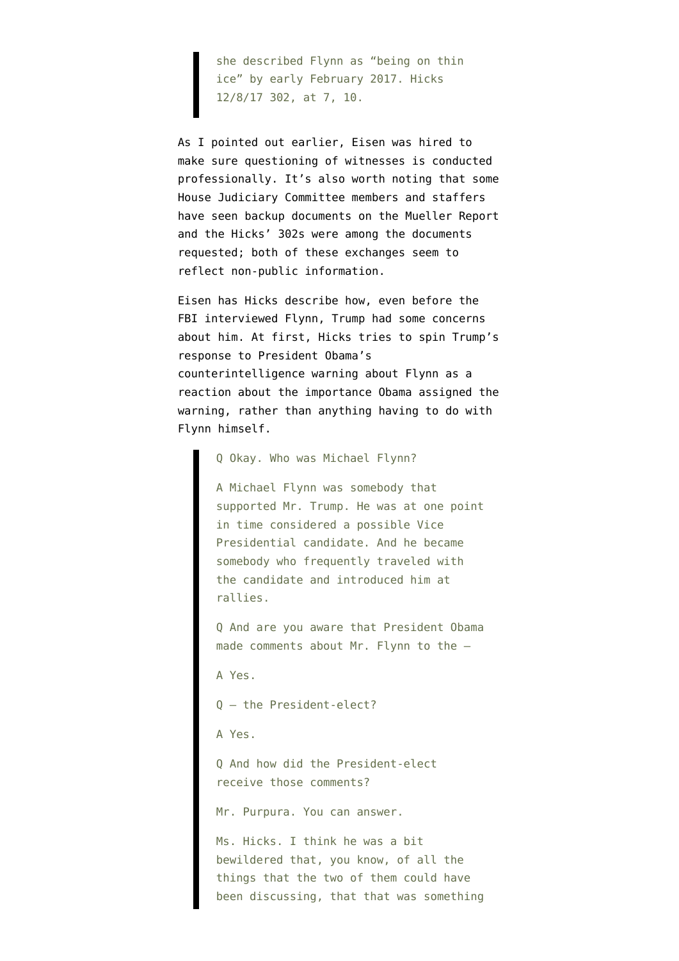she described Flynn as "being on thin ice" by early February 2017. Hicks 12/8/17 302, at 7, 10.

As I pointed out earlier, Eisen was hired to make sure questioning of witnesses is conducted professionally. It's also worth noting that some House Judiciary Committee members and staffers have seen backup documents on the Mueller Report and the Hicks' 302s were among the documents requested; both of these exchanges seem to reflect non-public information.

Eisen has Hicks describe how, even before the FBI interviewed Flynn, Trump had some concerns about him. At first, Hicks tries to spin Trump's response to President Obama's counterintelligence warning about Flynn as a reaction about the importance Obama assigned the warning, rather than anything having to do with Flynn himself.

Q Okay. Who was Michael Flynn?

A Michael Flynn was somebody that supported Mr. Trump. He was at one point in time considered a possible Vice Presidential candidate. And he became somebody who frequently traveled with the candidate and introduced him at rallies.

Q And are you aware that President Obama made comments about Mr. Flynn to the —

A Yes.

Q — the President-elect?

A Yes.

Q And how did the President-elect receive those comments?

Mr. Purpura. You can answer.

Ms. Hicks. I think he was a bit bewildered that, you know, of all the things that the two of them could have been discussing, that that was something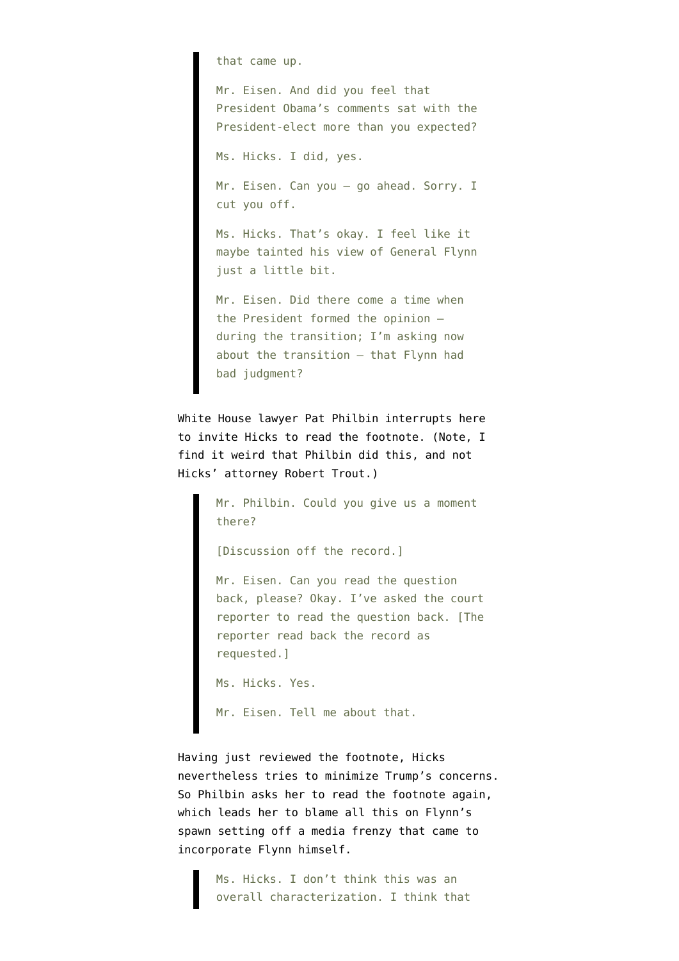that came up.

Mr. Eisen. And did you feel that President Obama's comments sat with the President-elect more than you expected?

Ms. Hicks. I did, yes.

Mr. Eisen. Can you — go ahead. Sorry. I cut you off.

Ms. Hicks. That's okay. I feel like it maybe tainted his view of General Flynn just a little bit.

Mr. Eisen. Did there come a time when the President formed the opinion during the transition; I'm asking now about the transition — that Flynn had bad judgment?

White House lawyer Pat Philbin interrupts here to invite Hicks to read the footnote. (Note, I find it weird that Philbin did this, and not Hicks' attorney Robert Trout.)

> Mr. Philbin. Could you give us a moment there?

[Discussion off the record.]

Mr. Eisen. Can you read the question back, please? Okay. I've asked the court reporter to read the question back. [The reporter read back the record as requested.]

```
Ms. Hicks. Yes.
```
Mr. Eisen. Tell me about that.

Having just reviewed the footnote, Hicks nevertheless tries to minimize Trump's concerns. So Philbin asks her to read the footnote again, which leads her to blame all this on Flynn's spawn setting off a media frenzy that came to incorporate Flynn himself.

> Ms. Hicks. I don't think this was an overall characterization. I think that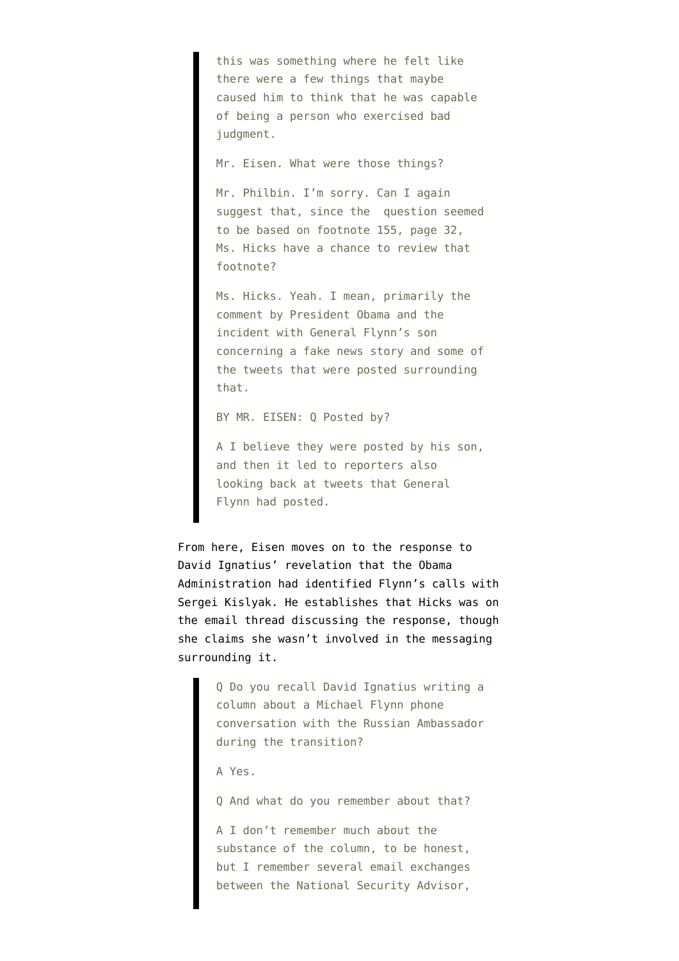this was something where he felt like there were a few things that maybe caused him to think that he was capable of being a person who exercised bad judgment.

Mr. Eisen. What were those things?

Mr. Philbin. I'm sorry. Can I again suggest that, since the question seemed to be based on footnote 155, page 32, Ms. Hicks have a chance to review that footnote?

Ms. Hicks. Yeah. I mean, primarily the comment by President Obama and the incident with General Flynn's son concerning a fake news story and some of the tweets that were posted surrounding that.

BY MR. EISEN: Q Posted by?

A I believe they were posted by his son, and then it led to reporters also looking back at tweets that General Flynn had posted.

From here, Eisen moves on to the response to David Ignatius' [revelation](https://www.washingtonpost.com/opinions/why-did-obama-dawdle-on-russias-hacking/2017/01/12/75f878a0-d90c-11e6-9a36-1d296534b31e_story.html) that the Obama Administration had identified Flynn's calls with Sergei Kislyak. He establishes that Hicks was on the email thread discussing the response, though she claims she wasn't involved in the messaging surrounding it.

> Q Do you recall David Ignatius writing a column about a Michael Flynn phone conversation with the Russian Ambassador during the transition?

A Yes.

Q And what do you remember about that?

A I don't remember much about the substance of the column, to be honest, but I remember several email exchanges between the National Security Advisor,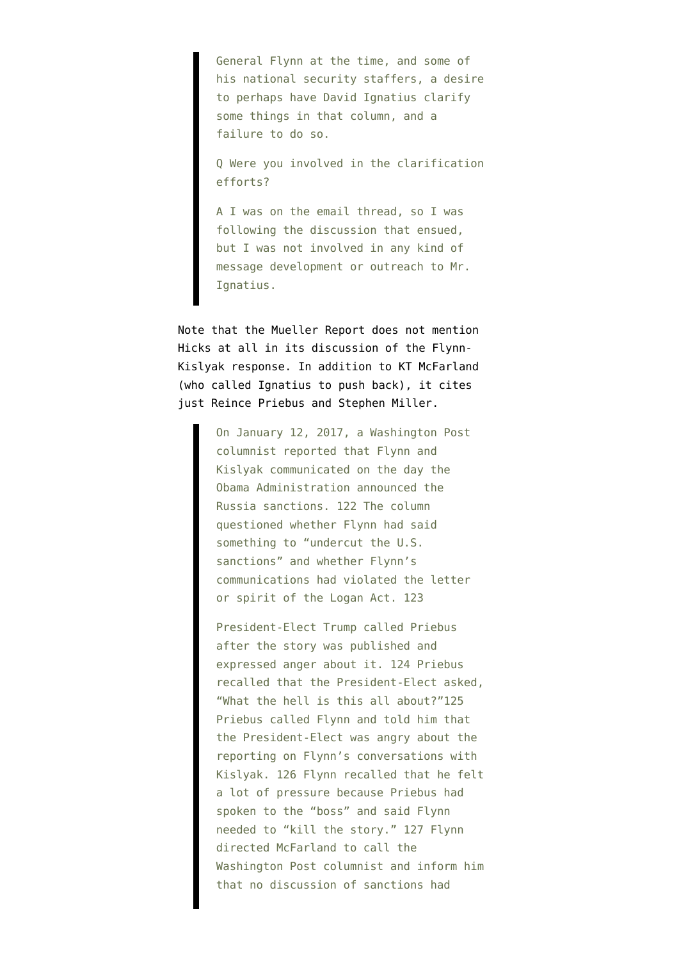General Flynn at the time, and some of his national security staffers, a desire to perhaps have David Ignatius clarify some things in that column, and a failure to do so.

Q Were you involved in the clarification efforts?

A I was on the email thread, so I was following the discussion that ensued, but I was not involved in any kind of message development or outreach to Mr. Ignatius.

Note that the Mueller Report does not mention Hicks at all in its discussion of the Flynn-Kislyak response. In addition to KT McFarland (who called Ignatius to push back), it cites just Reince Priebus and Stephen Miller.

> On January 12, 2017, a Washington Post columnist reported that Flynn and Kislyak communicated on the day the Obama Administration announced the Russia sanctions. 122 The column questioned whether Flynn had said something to "undercut the U.S. sanctions" and whether Flynn's communications had violated the letter or spirit of the Logan Act. 123

President-Elect Trump called Priebus after the story was published and expressed anger about it. 124 Priebus recalled that the President-Elect asked, "What the hell is this all about?"125 Priebus called Flynn and told him that the President-Elect was angry about the reporting on Flynn's conversations with Kislyak. 126 Flynn recalled that he felt a lot of pressure because Priebus had spoken to the "boss" and said Flynn needed to "kill the story." 127 Flynn directed McFarland to call the Washington Post columnist and inform him that no discussion of sanctions had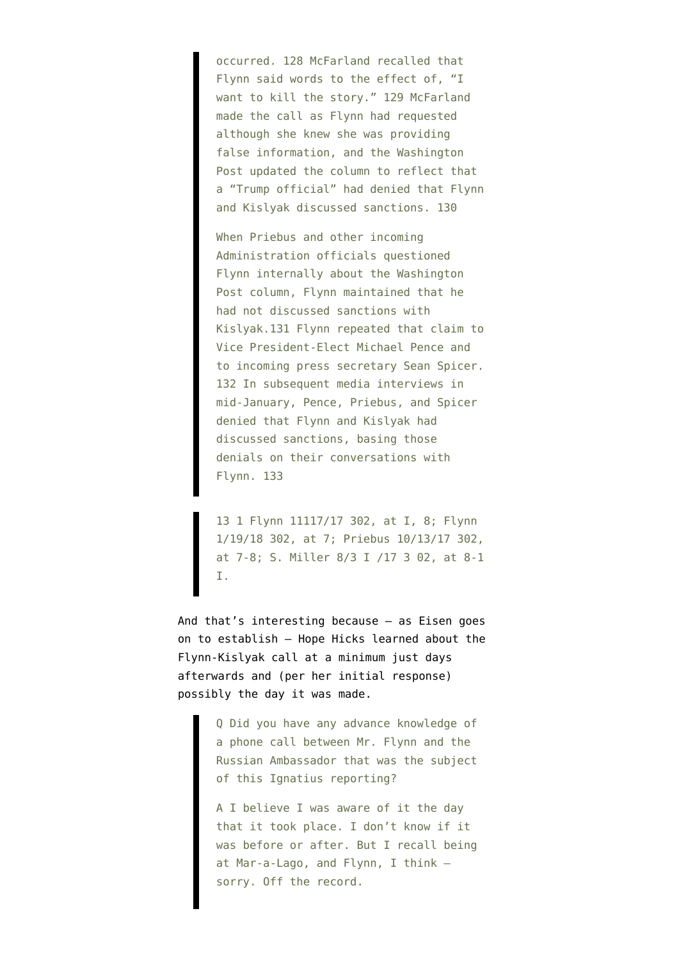occurred. 128 McFarland recalled that Flynn said words to the effect of, "I want to kill the story." 129 McFarland made the call as Flynn had requested although she knew she was providing false information, and the Washington Post updated the column to reflect that a "Trump official" had denied that Flynn and Kislyak discussed sanctions. 130

When Priebus and other incoming Administration officials questioned Flynn internally about the Washington Post column, Flynn maintained that he had not discussed sanctions with Kislyak.131 Flynn repeated that claim to Vice President-Elect Michael Pence and to incoming press secretary Sean Spicer. 132 In subsequent media interviews in mid-January, Pence, Priebus, and Spicer denied that Flynn and Kislyak had discussed sanctions, basing those denials on their conversations with Flynn. 133

13 1 Flynn 11117/17 302, at I, 8; Flynn 1/19/18 302, at 7; Priebus 10/13/17 302, at 7-8; S. Miller 8/3 I /17 3 02, at 8-1 I.

And that's interesting because — as Eisen goes on to establish — Hope Hicks learned about the Flynn-Kislyak call at a minimum just days afterwards and (per her initial response) possibly the day it was made.

> Q Did you have any advance knowledge of a phone call between Mr. Flynn and the Russian Ambassador that was the subject of this Ignatius reporting?

> A I believe I was aware of it the day that it took place. I don't know if it was before or after. But I recall being at Mar-a-Lago, and Flynn, I think sorry. Off the record.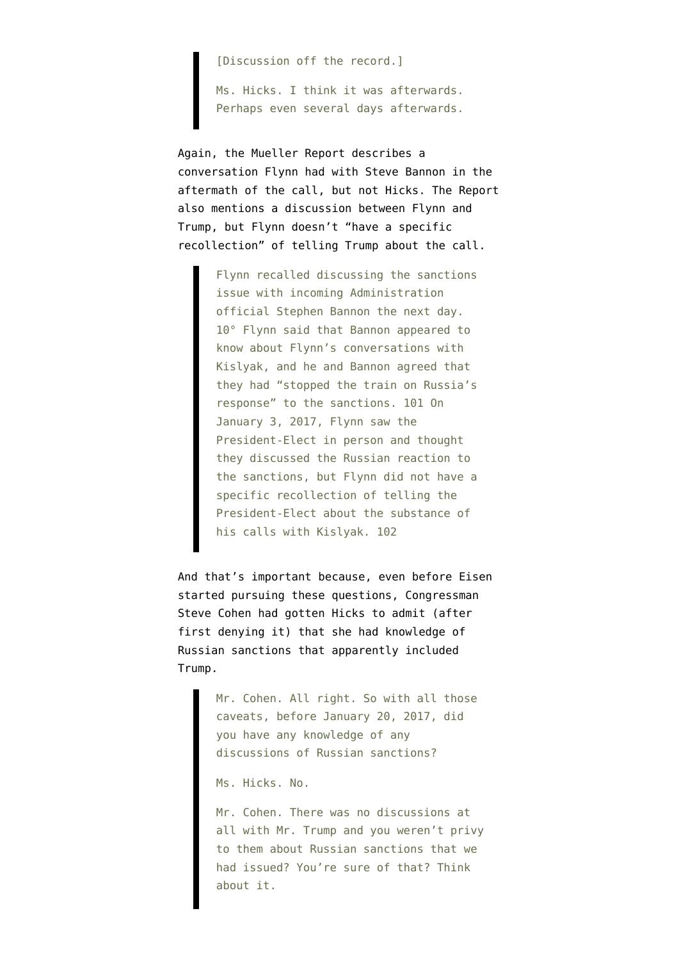[Discussion off the record.]

Ms. Hicks. I think it was afterwards. Perhaps even several days afterwards.

Again, the Mueller Report describes a conversation Flynn had with Steve Bannon in the aftermath of the call, but not Hicks. The Report also mentions a discussion between Flynn and Trump, but Flynn doesn't "have a specific recollection" of telling Trump about the call.

> Flynn recalled discussing the sanctions issue with incoming Administration official Stephen Bannon the next day. 10° Flynn said that Bannon appeared to know about Flynn's conversations with Kislyak, and he and Bannon agreed that they had "stopped the train on Russia's response" to the sanctions. 101 On January 3, 2017, Flynn saw the President-Elect in person and thought they discussed the Russian reaction to the sanctions, but Flynn did not have a specific recollection of telling the President-Elect about the substance of his calls with Kislyak. 102

And that's important because, even before Eisen started pursuing these questions, Congressman Steve Cohen had gotten Hicks to admit (after first denying it) that she had knowledge of Russian sanctions that apparently included Trump.

> Mr. Cohen. All right. So with all those caveats, before January 20, 2017, did you have any knowledge of any discussions of Russian sanctions?

Ms. Hicks. No.

Mr. Cohen. There was no discussions at all with Mr. Trump and you weren't privy to them about Russian sanctions that we had issued? You're sure of that? Think about it.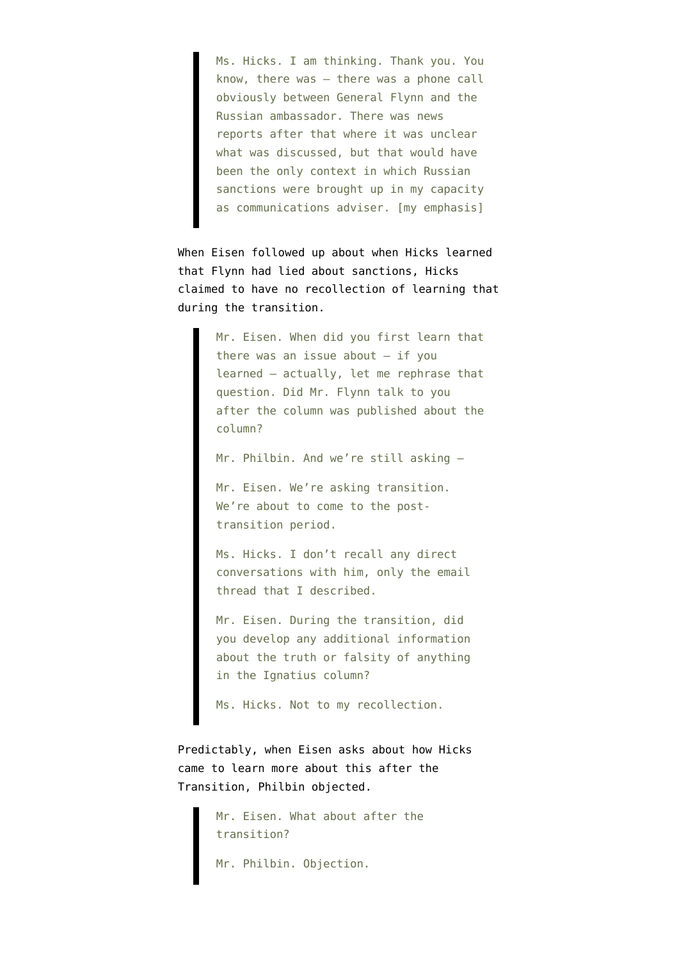Ms. Hicks. I am thinking. Thank you. You know, there was — there was a phone call obviously between General Flynn and the Russian ambassador. There was news reports after that where it was unclear what was discussed, but that would have been the only context in which Russian sanctions were brought up in my capacity as communications adviser. [my emphasis]

When Eisen followed up about when Hicks learned that Flynn had lied about sanctions, Hicks claimed to have no recollection of learning that during the transition.

> Mr. Eisen. When did you first learn that there was an issue about  $-$  if you learned — actually, let me rephrase that question. Did Mr. Flynn talk to you after the column was published about the column?

Mr. Philbin. And we're still asking —

Mr. Eisen. We're asking transition. We're about to come to the posttransition period.

Ms. Hicks. I don't recall any direct conversations with him, only the email thread that I described.

Mr. Eisen. During the transition, did you develop any additional information about the truth or falsity of anything in the Ignatius column?

Ms. Hicks. Not to my recollection.

Predictably, when Eisen asks about how Hicks came to learn more about this after the Transition, Philbin objected.

> Mr. Eisen. What about after the transition?

Mr. Philbin. Objection.